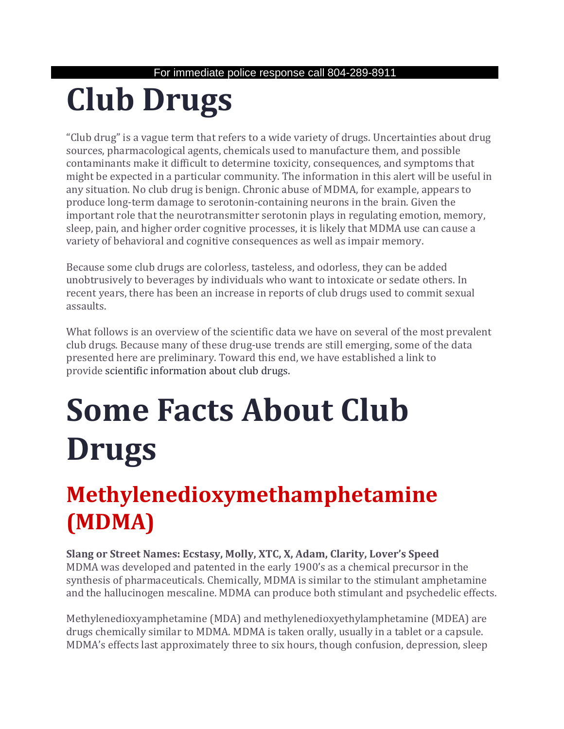# **Club Drugs**

"Club drug" is a vague term that refers to a wide variety of drugs. Uncertainties about drug sources, pharmacological agents, chemicals used to manufacture them, and possible contaminants make it difficult to determine toxicity, consequences, and symptoms that might be expected in a particular community. The information in this alert will be useful in any situation. No club drug is benign. Chronic abuse of MDMA, for example, appears to produce long-term damage to serotonin-containing neurons in the brain. Given the important role that the neurotransmitter serotonin plays in regulating emotion, memory, sleep, pain, and higher order cognitive processes, it is likely that MDMA use can cause a variety of behavioral and cognitive consequences as well as impair memory.

Because some club drugs are colorless, tasteless, and odorless, they can be added unobtrusively to beverages by individuals who want to intoxicate or sedate others. In recent years, there has been an increase in reports of club drugs used to commit sexual assaults.

What follows is an overview of the scientific data we have on several of the most prevalent club drugs. Because many of these drug-use trends are still emerging, some of the data presented here are preliminary. Toward this end, we have established a link to provide [scientific information about club drugs.](http://www.clubdrugs.org/)

# **Some Facts About Club Drugs**

## **Methylenedioxymethamphetamine (MDMA)**

**Slang or Street Names: Ecstasy, Molly, XTC, X, Adam, Clarity, Lover's Speed** MDMA was developed and patented in the early 1900's as a chemical precursor in the synthesis of pharmaceuticals. Chemically, MDMA is similar to the stimulant amphetamine and the hallucinogen mescaline. MDMA can produce both stimulant and psychedelic effects.

Methylenedioxyamphetamine (MDA) and methylenedioxyethylamphetamine (MDEA) are drugs chemically similar to MDMA. MDMA is taken orally, usually in a tablet or a capsule. MDMA's effects last approximately three to six hours, though confusion, depression, sleep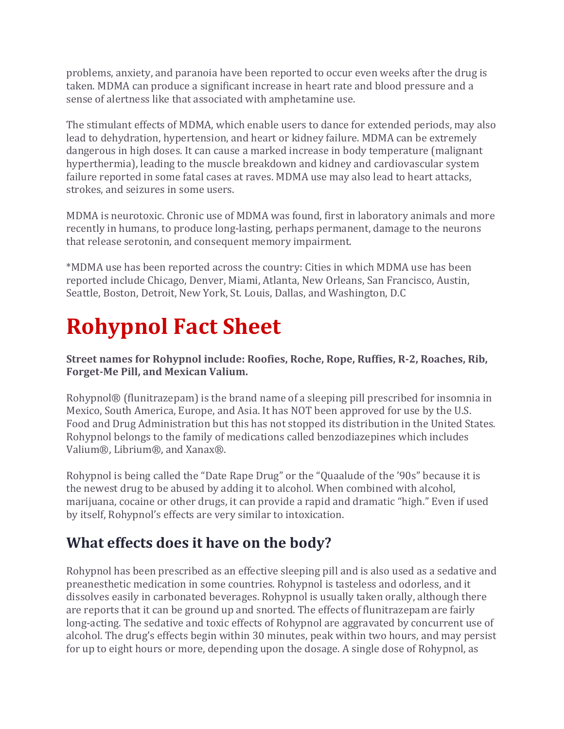problems, anxiety, and paranoia have been reported to occur even weeks after the drug is taken. MDMA can produce a significant increase in heart rate and blood pressure and a sense of alertness like that associated with amphetamine use.

The stimulant effects of MDMA, which enable users to dance for extended periods, may also lead to dehydration, hypertension, and heart or kidney failure. MDMA can be extremely dangerous in high doses. It can cause a marked increase in body temperature (malignant hyperthermia), leading to the muscle breakdown and kidney and cardiovascular system failure reported in some fatal cases at raves. MDMA use may also lead to heart attacks, strokes, and seizures in some users.

MDMA is neurotoxic. Chronic use of MDMA was found, first in laboratory animals and more recently in humans, to produce long-lasting, perhaps permanent, damage to the neurons that release serotonin, and consequent memory impairment.

\*MDMA use has been reported across the country: Cities in which MDMA use has been reported include Chicago, Denver, Miami, Atlanta, New Orleans, San Francisco, Austin, Seattle, Boston, Detroit, New York, St. Louis, Dallas, and Washington, D.C

# **Rohypnol Fact Sheet**

#### **Street names for Rohypnol include: Roofies, Roche, Rope, Ruffies, R-2, Roaches, Rib, Forget-Me Pill, and Mexican Valium.**

Rohypnol® (flunitrazepam) is the brand name of a sleeping pill prescribed for insomnia in Mexico, South America, Europe, and Asia. It has NOT been approved for use by the U.S. Food and Drug Administration but this has not stopped its distribution in the United States. Rohypnol belongs to the family of medications called benzodiazepines which includes Valium®, Librium®, and Xanax®.

Rohypnol is being called the "Date Rape Drug" or the "Quaalude of the '90s" because it is the newest drug to be abused by adding it to alcohol. When combined with alcohol, marijuana, cocaine or other drugs, it can provide a rapid and dramatic "high." Even if used by itself, Rohypnol's effects are very similar to intoxication.

### **What effects does it have on the body?**

Rohypnol has been prescribed as an effective sleeping pill and is also used as a sedative and preanesthetic medication in some countries. Rohypnol is tasteless and odorless, and it dissolves easily in carbonated beverages. Rohypnol is usually taken orally, although there are reports that it can be ground up and snorted. The effects of flunitrazepam are fairly long-acting. The sedative and toxic effects of Rohypnol are aggravated by concurrent use of alcohol. The drug's effects begin within 30 minutes, peak within two hours, and may persist for up to eight hours or more, depending upon the dosage. A single dose of Rohypnol, as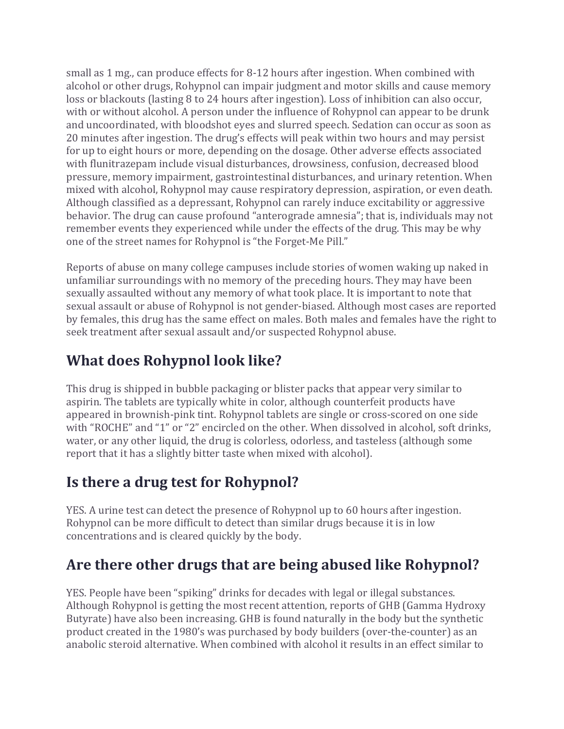small as 1 mg., can produce effects for 8-12 hours after ingestion. When combined with alcohol or other drugs, Rohypnol can impair judgment and motor skills and cause memory loss or blackouts (lasting 8 to 24 hours after ingestion). Loss of inhibition can also occur, with or without alcohol. A person under the influence of Rohypnol can appear to be drunk and uncoordinated, with bloodshot eyes and slurred speech. Sedation can occur as soon as 20 minutes after ingestion. The drug's effects will peak within two hours and may persist for up to eight hours or more, depending on the dosage. Other adverse effects associated with flunitrazepam include visual disturbances, drowsiness, confusion, decreased blood pressure, memory impairment, gastrointestinal disturbances, and urinary retention. When mixed with alcohol, Rohypnol may cause respiratory depression, aspiration, or even death. Although classified as a depressant, Rohypnol can rarely induce excitability or aggressive behavior. The drug can cause profound "anterograde amnesia"; that is, individuals may not remember events they experienced while under the effects of the drug. This may be why one of the street names for Rohypnol is "the Forget-Me Pill."

Reports of abuse on many college campuses include stories of women waking up naked in unfamiliar surroundings with no memory of the preceding hours. They may have been sexually assaulted without any memory of what took place. It is important to note that sexual assault or abuse of Rohypnol is not gender-biased. Although most cases are reported by females, this drug has the same effect on males. Both males and females have the right to seek treatment after sexual assault and/or suspected Rohypnol abuse.

### **What does Rohypnol look like?**

This drug is shipped in bubble packaging or blister packs that appear very similar to aspirin. The tablets are typically white in color, although counterfeit products have appeared in brownish-pink tint. Rohypnol tablets are single or cross-scored on one side with "ROCHE" and "1" or "2" encircled on the other. When dissolved in alcohol, soft drinks, water, or any other liquid, the drug is colorless, odorless, and tasteless (although some report that it has a slightly bitter taste when mixed with alcohol).

### **Is there a drug test for Rohypnol?**

YES. A urine test can detect the presence of Rohypnol up to 60 hours after ingestion. Rohypnol can be more difficult to detect than similar drugs because it is in low concentrations and is cleared quickly by the body.

### **Are there other drugs that are being abused like Rohypnol?**

YES. People have been "spiking" drinks for decades with legal or illegal substances. Although Rohypnol is getting the most recent attention, reports of GHB (Gamma Hydroxy Butyrate) have also been increasing. GHB is found naturally in the body but the synthetic product created in the 1980's was purchased by body builders (over-the-counter) as an anabolic steroid alternative. When combined with alcohol it results in an effect similar to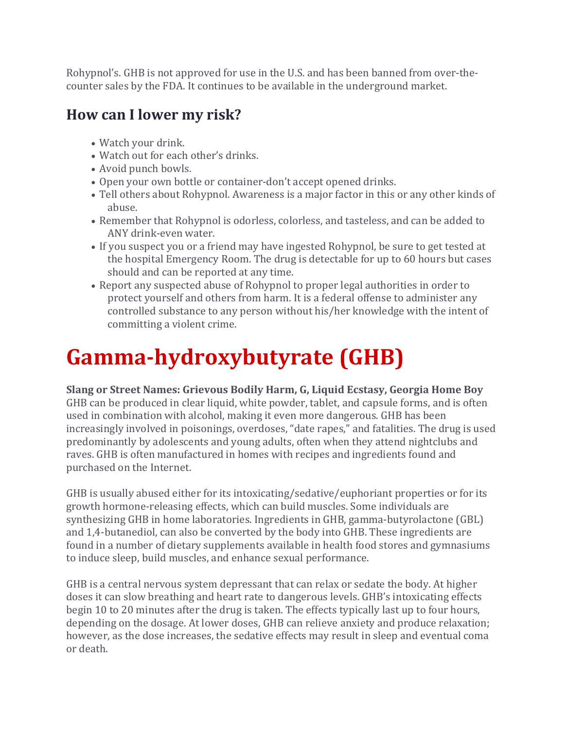Rohypnol's. GHB is not approved for use in the U.S. and has been banned from over-thecounter sales by the FDA. It continues to be available in the underground market.

### **How can I lower my risk?**

- Watch your drink.
- Watch out for each other's drinks.
- Avoid punch bowls.
- Open your own bottle or container-don't accept opened drinks.
- Tell others about Rohypnol. Awareness is a major factor in this or any other kinds of abuse.
- Remember that Rohypnol is odorless, colorless, and tasteless, and can be added to ANY drink-even water.
- If you suspect you or a friend may have ingested Rohypnol, be sure to get tested at the hospital Emergency Room. The drug is detectable for up to 60 hours but cases should and can be reported at any time.
- Report any suspected abuse of Rohypnol to proper legal authorities in order to protect yourself and others from harm. It is a federal offense to administer any controlled substance to any person without his/her knowledge with the intent of committing a violent crime.

# **Gamma-hydroxybutyrate (GHB)**

**Slang or Street Names: Grievous Bodily Harm, G, Liquid Ecstasy, Georgia Home Boy** GHB can be produced in clear liquid, white powder, tablet, and capsule forms, and is often used in combination with alcohol, making it even more dangerous. GHB has been increasingly involved in poisonings, overdoses, "date rapes," and fatalities. The drug is used predominantly by adolescents and young adults, often when they attend nightclubs and raves. GHB is often manufactured in homes with recipes and ingredients found and purchased on the Internet.

GHB is usually abused either for its intoxicating/sedative/euphoriant properties or for its growth hormone-releasing effects, which can build muscles. Some individuals are synthesizing GHB in home laboratories. Ingredients in GHB, gamma-butyrolactone (GBL) and 1,4-butanediol, can also be converted by the body into GHB. These ingredients are found in a number of dietary supplements available in health food stores and gymnasiums to induce sleep, build muscles, and enhance sexual performance.

GHB is a central nervous system depressant that can relax or sedate the body. At higher doses it can slow breathing and heart rate to dangerous levels. GHB's intoxicating effects begin 10 to 20 minutes after the drug is taken. The effects typically last up to four hours, depending on the dosage. At lower doses, GHB can relieve anxiety and produce relaxation; however, as the dose increases, the sedative effects may result in sleep and eventual coma or death.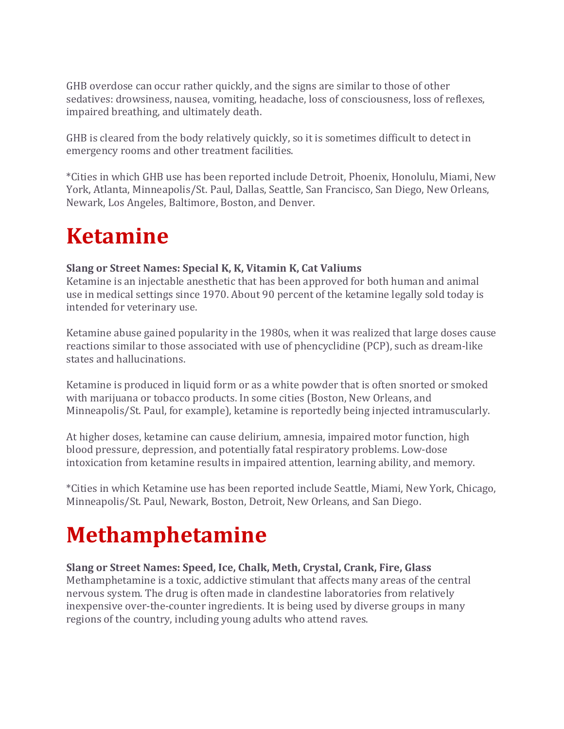GHB overdose can occur rather quickly, and the signs are similar to those of other sedatives: drowsiness, nausea, vomiting, headache, loss of consciousness, loss of reflexes, impaired breathing, and ultimately death.

GHB is cleared from the body relatively quickly, so it is sometimes difficult to detect in emergency rooms and other treatment facilities.

\*Cities in which GHB use has been reported include Detroit, Phoenix, Honolulu, Miami, New York, Atlanta, Minneapolis/St. Paul, Dallas, Seattle, San Francisco, San Diego, New Orleans, Newark, Los Angeles, Baltimore, Boston, and Denver.

### **Ketamine**

#### **Slang or Street Names: Special K, K, Vitamin K, Cat Valiums**

Ketamine is an injectable anesthetic that has been approved for both human and animal use in medical settings since 1970. About 90 percent of the ketamine legally sold today is intended for veterinary use.

Ketamine abuse gained popularity in the 1980s, when it was realized that large doses cause reactions similar to those associated with use of phencyclidine (PCP), such as dream-like states and hallucinations.

Ketamine is produced in liquid form or as a white powder that is often snorted or smoked with marijuana or tobacco products. In some cities (Boston, New Orleans, and Minneapolis/St. Paul, for example), ketamine is reportedly being injected intramuscularly.

At higher doses, ketamine can cause delirium, amnesia, impaired motor function, high blood pressure, depression, and potentially fatal respiratory problems. Low-dose intoxication from ketamine results in impaired attention, learning ability, and memory.

\*Cities in which Ketamine use has been reported include Seattle, Miami, New York, Chicago, Minneapolis/St. Paul, Newark, Boston, Detroit, New Orleans, and San Diego.

# **Methamphetamine**

#### **Slang or Street Names: Speed, Ice, Chalk, Meth, Crystal, Crank, Fire, Glass**

Methamphetamine is a toxic, addictive stimulant that affects many areas of the central nervous system. The drug is often made in clandestine laboratories from relatively inexpensive over-the-counter ingredients. It is being used by diverse groups in many regions of the country, including young adults who attend raves.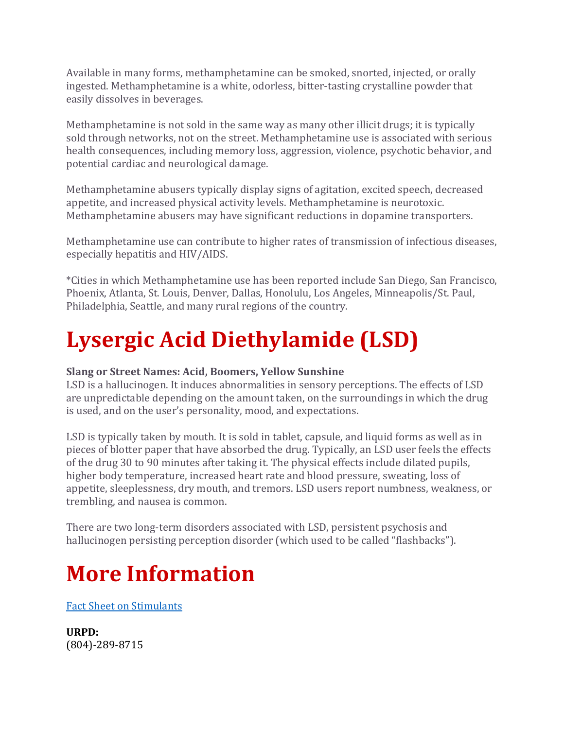Available in many forms, methamphetamine can be smoked, snorted, injected, or orally ingested. Methamphetamine is a white, odorless, bitter-tasting crystalline powder that easily dissolves in beverages.

Methamphetamine is not sold in the same way as many other illicit drugs; it is typically sold through networks, not on the street. Methamphetamine use is associated with serious health consequences, including memory loss, aggression, violence, psychotic behavior, and potential cardiac and neurological damage.

Methamphetamine abusers typically display signs of agitation, excited speech, decreased appetite, and increased physical activity levels. Methamphetamine is neurotoxic. Methamphetamine abusers may have significant reductions in dopamine transporters.

Methamphetamine use can contribute to higher rates of transmission of infectious diseases, especially hepatitis and HIV/AIDS.

\*Cities in which Methamphetamine use has been reported include San Diego, San Francisco, Phoenix, Atlanta, St. Louis, Denver, Dallas, Honolulu, Los Angeles, Minneapolis/St. Paul, Philadelphia, Seattle, and many rural regions of the country.

# **Lysergic Acid Diethylamide (LSD)**

#### **Slang or Street Names: Acid, Boomers, Yellow Sunshine**

LSD is a hallucinogen. It induces abnormalities in sensory perceptions. The effects of LSD are unpredictable depending on the amount taken, on the surroundings in which the drug is used, and on the user's personality, mood, and expectations.

LSD is typically taken by mouth. It is sold in tablet, capsule, and liquid forms as well as in pieces of blotter paper that have absorbed the drug. Typically, an LSD user feels the effects of the drug 30 to 90 minutes after taking it. The physical effects include dilated pupils, higher body temperature, increased heart rate and blood pressure, sweating, loss of appetite, sleeplessness, dry mouth, and tremors. LSD users report numbness, weakness, or trembling, and nausea is common.

There are two long-term disorders associated with LSD, persistent psychosis and hallucinogen persisting perception disorder (which used to be called "flashbacks").

### **More Information**

[Fact Sheet on Stimulants](https://police.richmond.edu/common/pdf/fact-sheet-stimulant.pdf)

**URPD:** (804)-289-8715